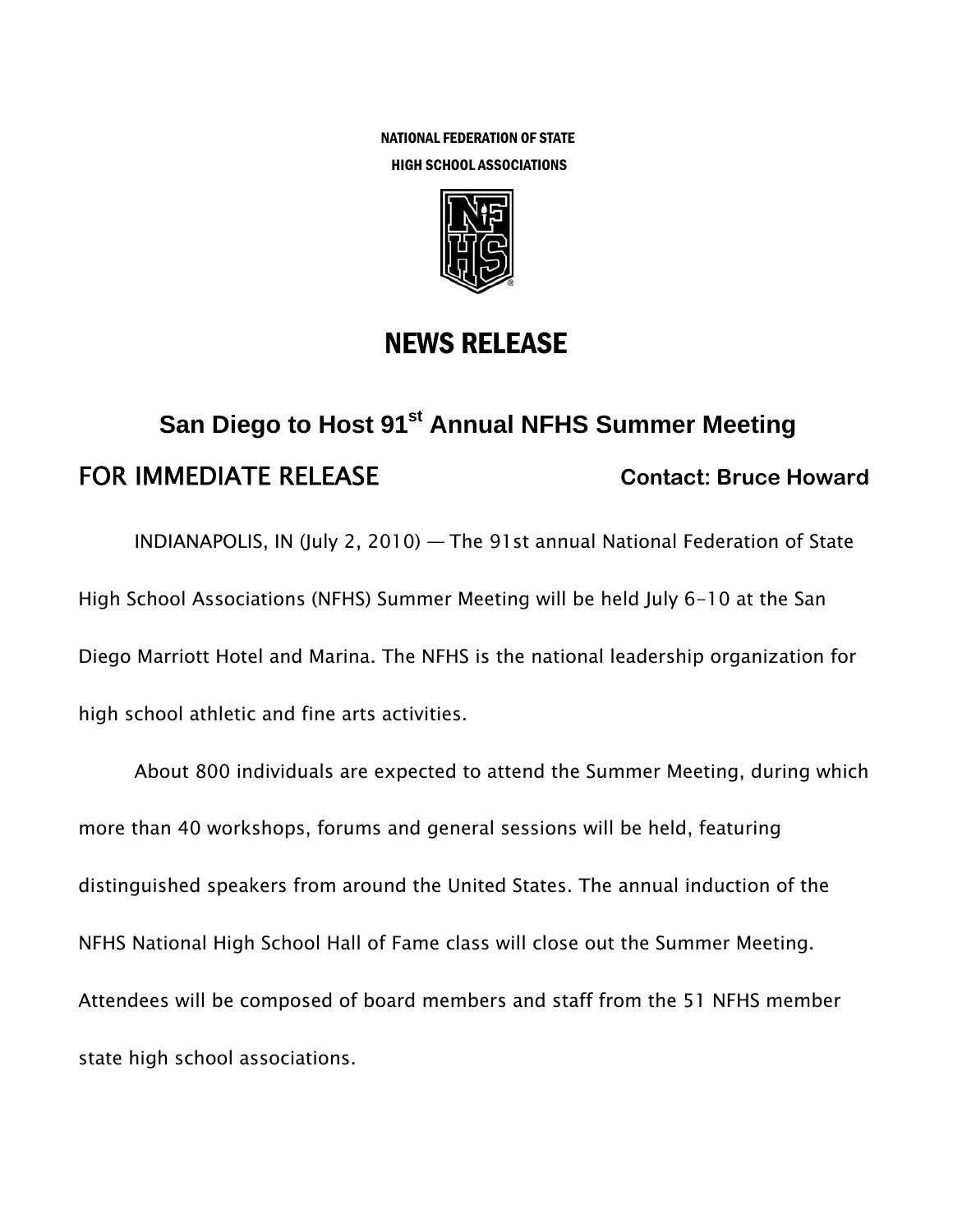NATIONAL FEDERATION OF STATE HIGH SCHOOL ASSOCIATIONS



## NEWS RELEASE

# **San Diego to Host 91<sup>st</sup> Annual NFHS Summer Meeting** FOR IMMEDIATE RELEASE **Contact: Bruce Howard**

INDIANAPOLIS, IN (July 2, 2010) — The 91st annual National Federation of State High School Associations (NFHS) Summer Meeting will be held July 6-10 at the San Diego Marriott Hotel and Marina. The NFHS is the national leadership organization for high school athletic and fine arts activities.

About 800 individuals are expected to attend the Summer Meeting, during which more than 40 workshops, forums and general sessions will be held, featuring distinguished speakers from around the United States. The annual induction of the NFHS National High School Hall of Fame class will close out the Summer Meeting. Attendees will be composed of board members and staff from the 51 NFHS member state high school associations.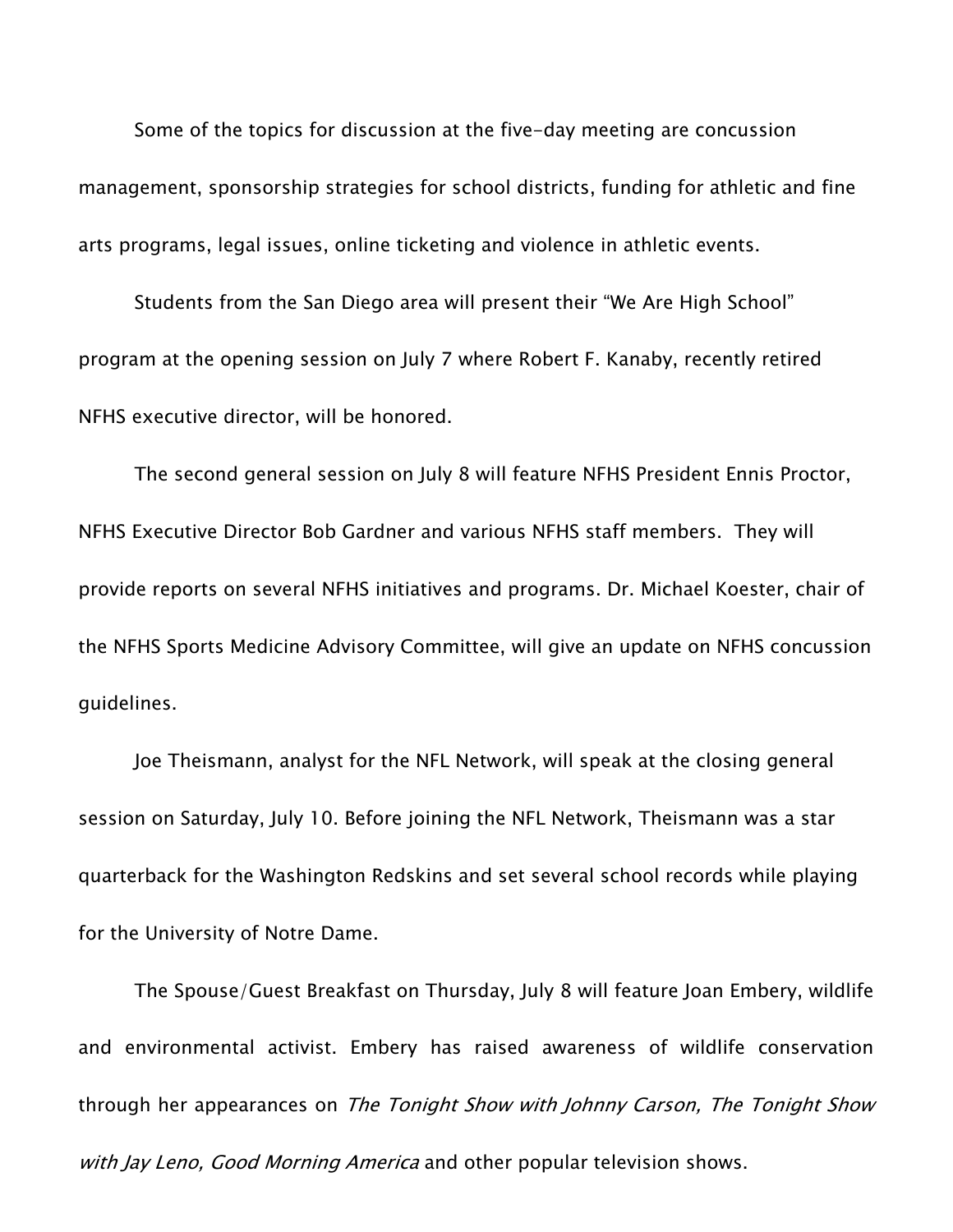Some of the topics for discussion at the five-day meeting are concussion management, sponsorship strategies for school districts, funding for athletic and fine arts programs, legal issues, online ticketing and violence in athletic events.

Students from the San Diego area will present their "We Are High School" program at the opening session on July 7 where Robert F. Kanaby, recently retired NFHS executive director, will be honored.

The second general session on July 8 will feature NFHS President Ennis Proctor, NFHS Executive Director Bob Gardner and various NFHS staff members. They will provide reports on several NFHS initiatives and programs. Dr. Michael Koester, chair of the NFHS Sports Medicine Advisory Committee, will give an update on NFHS concussion guidelines.

Joe Theismann, analyst for the NFL Network, will speak at the closing general session on Saturday, July 10. Before joining the NFL Network, Theismann was a star quarterback for the Washington Redskins and set several school records while playing for the University of Notre Dame.

The Spouse/Guest Breakfast on Thursday, July 8 will feature Joan Embery, wildlife and environmental activist. Embery has raised awareness of wildlife conservation through her appearances on The Tonight Show with Johnny Carson, The Tonight Show with Jay Leno, Good Morning America and other popular television shows.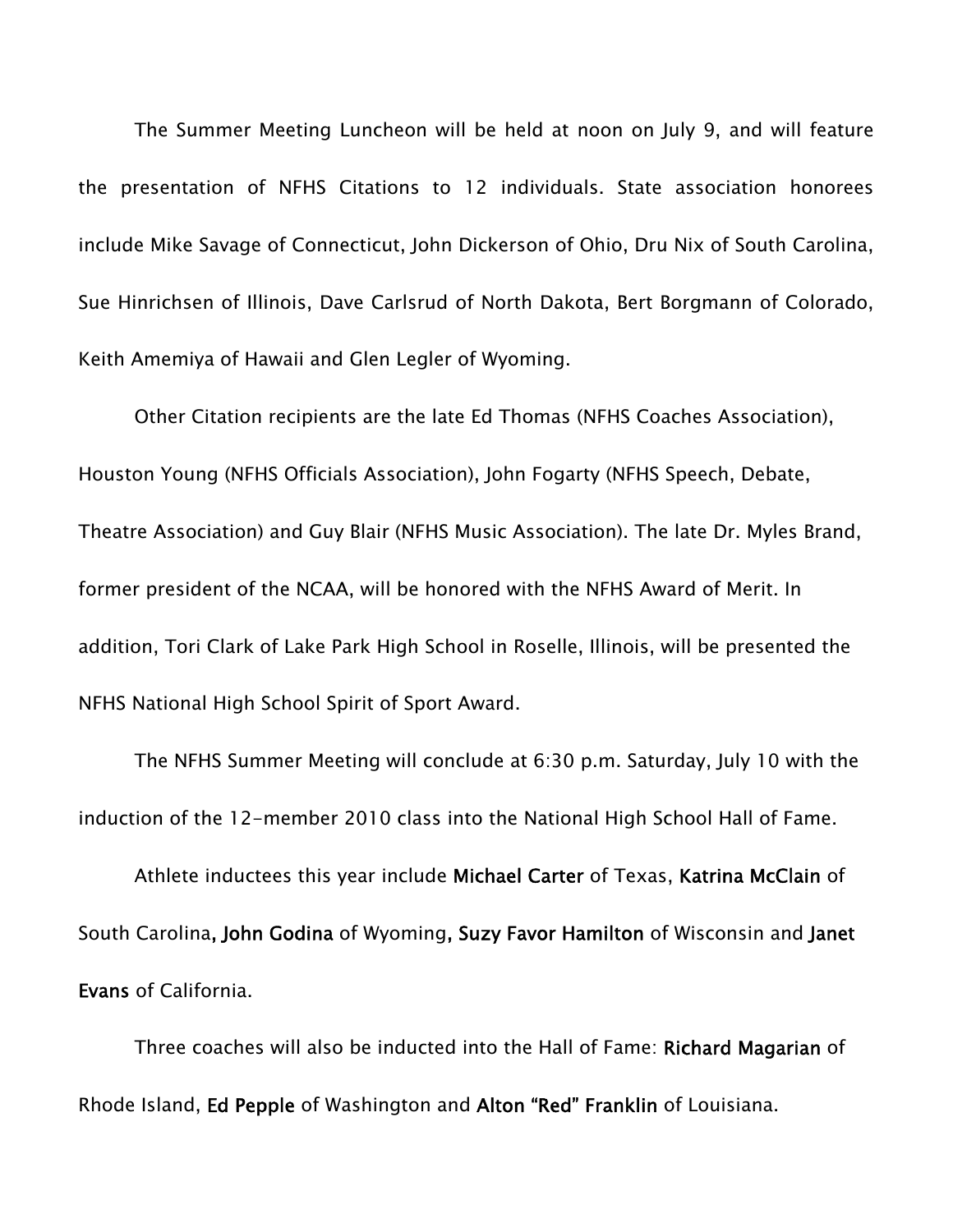The Summer Meeting Luncheon will be held at noon on July 9, and will feature the presentation of NFHS Citations to 12 individuals. State association honorees include Mike Savage of Connecticut, John Dickerson of Ohio, Dru Nix of South Carolina, Sue Hinrichsen of Illinois, Dave Carlsrud of North Dakota, Bert Borgmann of Colorado, Keith Amemiya of Hawaii and Glen Legler of Wyoming.

Other Citation recipients are the late Ed Thomas (NFHS Coaches Association), Houston Young (NFHS Officials Association), John Fogarty (NFHS Speech, Debate, Theatre Association) and Guy Blair (NFHS Music Association). The late Dr. Myles Brand, former president of the NCAA, will be honored with the NFHS Award of Merit. In addition, Tori Clark of Lake Park High School in Roselle, Illinois, will be presented the NFHS National High School Spirit of Sport Award.

The NFHS Summer Meeting will conclude at 6:30 p.m. Saturday, July 10 with the induction of the 12-member 2010 class into the National High School Hall of Fame.

Athlete inductees this year include Michael Carter of Texas, Katrina McClain of South Carolina, John Godina of Wyoming, Suzy Favor Hamilton of Wisconsin and Janet Evans of California.

Three coaches will also be inducted into the Hall of Fame: Richard Magarian of Rhode Island, Ed Pepple of Washington and Alton "Red" Franklin of Louisiana.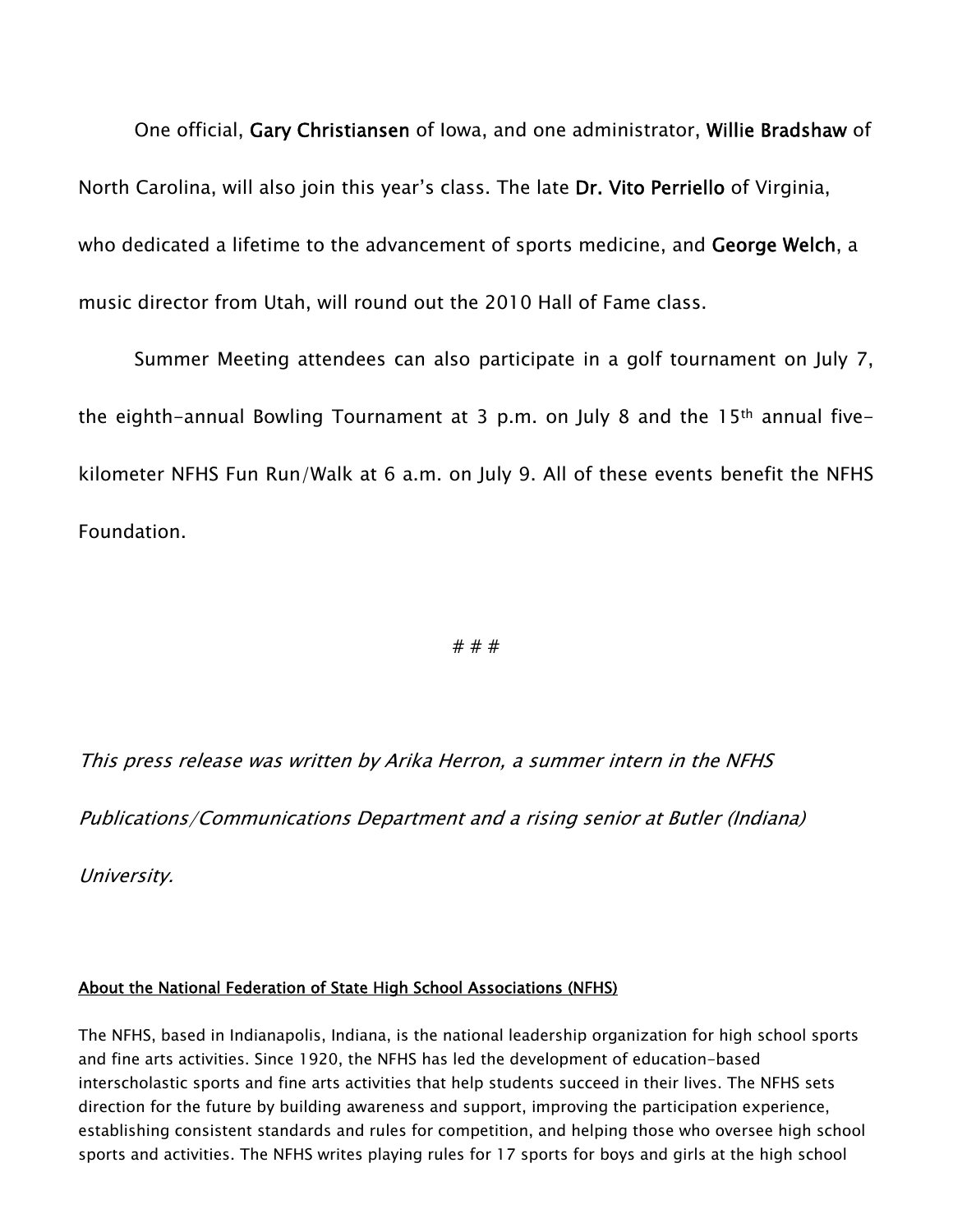One official, Gary Christiansen of Iowa, and one administrator, Willie Bradshaw of North Carolina, will also join this year's class. The late Dr. Vito Perriello of Virginia, who dedicated a lifetime to the advancement of sports medicine, and George Welch, a music director from Utah, will round out the 2010 Hall of Fame class.

Summer Meeting attendees can also participate in a golf tournament on July 7, the eighth-annual Bowling Tournament at 3 p.m. on July 8 and the 15th annual fivekilometer NFHS Fun Run/Walk at 6 a.m. on July 9. All of these events benefit the NFHS Foundation.

#### # # #

This press release was written by Arika Herron, a summer intern in the NFHS

Publications/Communications Department and a rising senior at Butler (Indiana)

University.

#### About the National Federation of State High School Associations (NFHS)

The NFHS, based in Indianapolis, Indiana, is the national leadership organization for high school sports and fine arts activities. Since 1920, the NFHS has led the development of education-based interscholastic sports and fine arts activities that help students succeed in their lives. The NFHS sets direction for the future by building awareness and support, improving the participation experience, establishing consistent standards and rules for competition, and helping those who oversee high school sports and activities. The NFHS writes playing rules for 17 sports for boys and girls at the high school